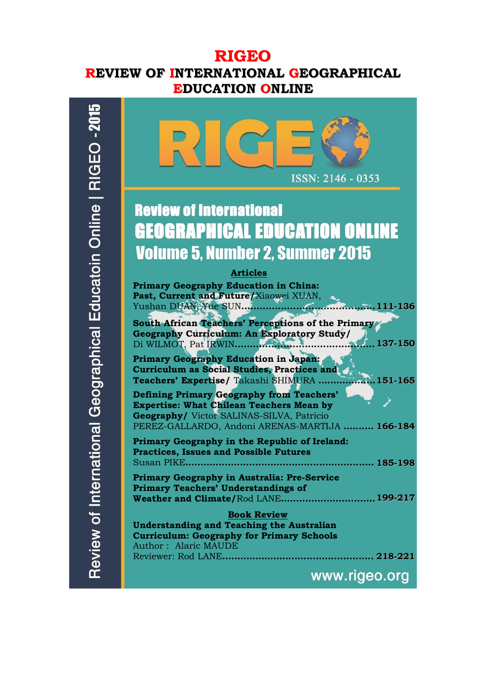# **RIGEO REVIEW OF INTERNATIONAL GEOGRAPHICAL EDUCATION ONLINE**



Review of International Geographical Educatoin Online | RIGEO -201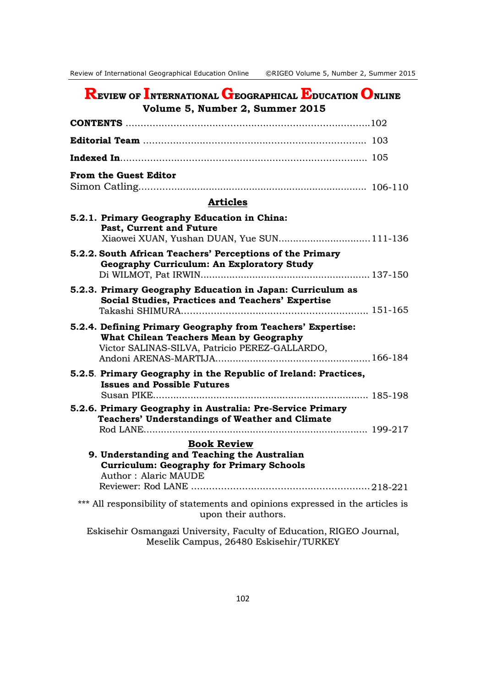| <b>REVIEW OF INTERNATIONAL GEOGRAPHICAL EDUCATION ONLINE</b><br>Volume 5, Number 2, Summer 2015                                                          |
|----------------------------------------------------------------------------------------------------------------------------------------------------------|
|                                                                                                                                                          |
|                                                                                                                                                          |
|                                                                                                                                                          |
| <b>From the Guest Editor</b>                                                                                                                             |
| <b>Articles</b>                                                                                                                                          |
| 5.2.1. Primary Geography Education in China:<br>Past, Current and Future<br>Xiaowei XUAN, Yushan DUAN, Yue SUN111-136                                    |
| 5.2.2. South African Teachers' Perceptions of the Primary<br><b>Geography Curriculum: An Exploratory Study</b>                                           |
| 5.2.3. Primary Geography Education in Japan: Curriculum as<br><b>Social Studies, Practices and Teachers' Expertise</b>                                   |
| 5.2.4. Defining Primary Geography from Teachers' Expertise:<br>What Chilean Teachers Mean by Geography<br>Victor SALINAS-SILVA, Patricio PEREZ-GALLARDO, |
| 5.2.5. Primary Geography in the Republic of Ireland: Practices,<br><b>Issues and Possible Futures</b>                                                    |
| 5.2.6. Primary Geography in Australia: Pre-Service Primary<br><b>Teachers' Understandings of Weather and Climate</b><br>Rod LANE                         |
| <b>Book Review</b><br>9. Understanding and Teaching the Australian<br><b>Curriculum: Geography for Primary Schools</b><br><b>Author: Alaric MAUDE</b>    |
| *** All responsibility of statements and opinions expressed in the articles is<br>upon their authors.                                                    |
| Eskisehir Osmangazi University, Faculty of Education, RIGEO Journal,<br>Meselik Campus, 26480 Eskisehir/TURKEY                                           |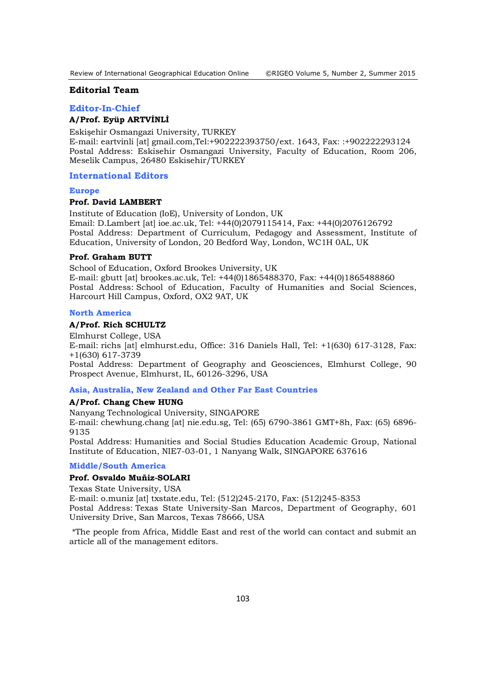### **Editorial Team**

#### **Editor-In-Chief**

# **A/Prof. Eyüp ARTVİNLİ**

Eskişehir Osmangazi University, TURKEY E-mail: eartvinli [at] gmail.com,Tel:+902222393750/ext. 1643, Fax: :+902222293124 Postal Address: Eskisehir Osmangazi University, Faculty of Education, Room 206, Meselik Campus, 26480 Eskisehir/TURKEY

### **International Editors**

#### **Europe**

### **Prof. David LAMBERT**

Institute of Education (IoE), University of London, UK Email: D.Lambert [at] ioe.ac.uk, Tel: +44(0)2079115414, Fax: +44(0)2076126792 Postal Address: Department of Curriculum, Pedagogy and Assessment, Institute of Education, University of London, 20 Bedford Way, London, WC1H 0AL, UK

# **Prof. Graham BUTT**

School of Education, Oxford Brookes University, UK E-mail: gbutt [at] brookes.ac.uk, Tel: +44(0)1865488370, Fax: +44(0)1865488860 Postal Address: School of Education, Faculty of Humanities and Social Sciences, Harcourt Hill Campus, Oxford, OX2 9AT, UK

#### **North America**

#### **A/Prof. Rich SCHULTZ**

Elmhurst College, USA E-mail: richs [at] elmhurst.edu, Office: 316 Daniels Hall, Tel: +1(630) 617-3128, Fax: +1(630) 617-3739 Postal Address: Department of Geography and Geosciences, Elmhurst College, 90

Prospect Avenue, Elmhurst, IL, 60126-3296, USA

# **Asia, Australia, New Zealand and Other Far East Countries**

# **A/Prof. Chang Chew HUNG**

Nanyang Technological University, SINGAPORE

E-mail: chewhung.chang [at] nie.edu.sg, Tel: (65) 6790-3861 GMT+8h, Fax: (65) 6896- 9135

Postal Address: Humanities and Social Studies Education Academic Group, National Institute of Education, NIE7-03-01, 1 Nanyang Walk, SINGAPORE 637616

#### **Middle/South America**

### **Prof. Osvaldo Muñiz-SOLARI**

Texas State University, USA

E-mail: o.muniz [at] txstate.edu, Tel: (512)245-2170, Fax: (512)245-8353 Postal Address: Texas State University-San Marcos, Department of Geography, 601 University Drive, San Marcos, Texas 78666, USA

\*The people from Africa, Middle East and rest of the world can contact and submit an article all of the management editors.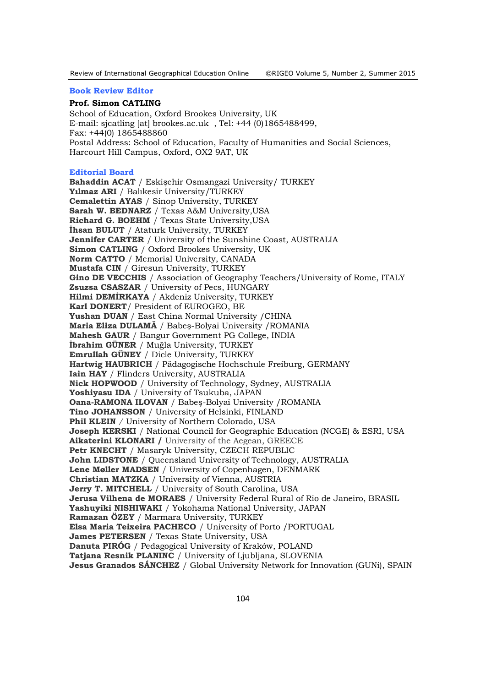#### **Book Review Editor**

### **Prof. Simon CATLING**

School of Education, Oxford Brookes University, UK E-mail: sjcatling [at] brookes.ac.uk , Tel: +44 (0)1865488499, Fax: +44(0) 1865488860 Postal Address: School of Education, Faculty of Humanities and Social Sciences, Harcourt Hill Campus, Oxford, OX2 9AT, UK

#### **Editorial Board**

**Bahaddin ACAT** / Eskişehir Osmangazi University/ TURKEY **Yılmaz ARI** / Balıkesir University/TURKEY **Cemalettin AYAS** / Sinop University, TURKEY **Sarah W. BEDNARZ** / Texas A&M University,USA **Richard G. BOEHM** / Texas State University,USA **İhsan BULUT** / Ataturk University, TURKEY **Jennifer CARTER** / University of the Sunshine Coast, AUSTRALIA **Simon CATLING** / Oxford Brookes University, UK **Norm CATTO** / Memorial University, CANADA **Mustafa CIN** / Giresun University, TURKEY **Gino DE VECCHIS** / Association of Geography Teachers/University of Rome, ITALY **Zsuzsa CSASZAR** / University of Pecs, HUNGARY **Hilmi DEMİRKAYA** / Akdeniz University, TURKEY **Karl DONERT**/ President of EUROGEO, BE **Yushan DUAN** / East China Normal University /CHINA **Maria Eliza DULAMĂ** / Babeş-Bolyai University /ROMANIA **Mahesh GAUR** / Bangur Government PG College, INDIA **İbrahim GÜNER** / Muğla University, TURKEY **Emrullah GÜNEY** / Dicle University, TURKEY **Hartwig HAUBRICH** / Pädagogische Hochschule Freiburg, GERMANY **Iain HAY** / Flinders University, AUSTRALIA **Nick HOPWOOD** / University of Technology, Sydney, AUSTRALIA **Yoshiyasu IDA** / University of Tsukuba, JAPAN **Oana-RAMONA ILOVAN** / Babeş-Bolyai University /ROMANIA **Tino JOHANSSON** / University of Helsinki, FINLAND **Phil KLEIN** */* University of Northern Colorado, USA **Joseph KERSKI** / National Council for Geographic Education (NCGE) & ESRI, USA **Aikaterini KLONARI /** University of the Aegean, GREECE **Petr KNECHT** / Masaryk University, CZECH REPUBLIC **John LIDSTONE** / Queensland University of Technology, AUSTRALIA **Lene Møller MADSEN** / University of Copenhagen, DENMARK **Christian MATZKA** / University of Vienna, AUSTRIA **Jerry T. MITCHELL** / University of South Carolina, USA **Jerusa Vilhena de MORAES** / University Federal Rural of Rio de Janeiro, BRASIL **Yashuyiki NISHIWAKI** / Yokohama National University, JAPAN **Ramazan ÖZEY** / Marmara University, TURKEY **Elsa Maria Teixeira PACHECO** / University of Porto /PORTUGAL **James PETERSEN** / Texas State University, USA **Danuta PIRÓG** / Pedagogical University of Kraków, POLAND **Tatjana Resnik PLANINC** / University of Ljubljana, SLOVENIA **Jesus Granados SÁNCHEZ** / Global University Network for Innovation (GUNi), SPAIN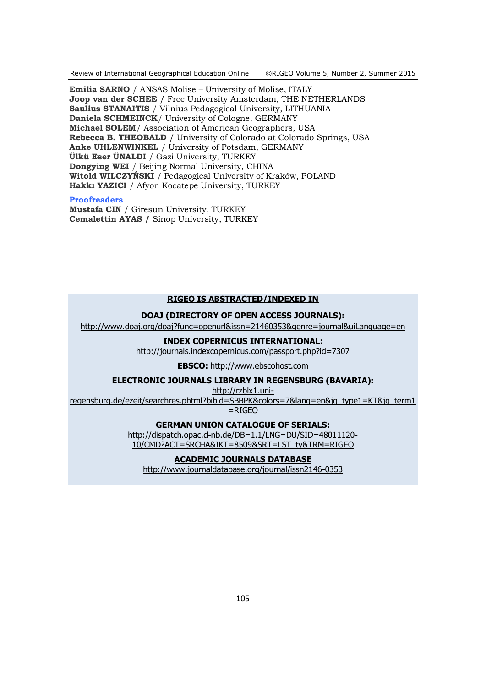Review of International Geographical Education Online ©RIGEO Volume 5, Number 2, Summer 2015

**Emilia SARNO** / ANSAS Molise – University of Molise, ITALY **Joop van der SCHEE** / Free University Amsterdam, THE NETHERLANDS **Saulius STANAITIS** / Vilnius Pedagogical University, LITHUANIA **Daniela SCHMEINCK**/ University of Cologne, GERMANY **Michael SOLEM**/ Association of American Geographers, USA **Rebecca B. THEOBALD** / University of Colorado at Colorado Springs, USA **Anke UHLENWINKEL** / University of Potsdam, GERMANY **Ülkü Eser ÜNALDI** / Gazi University, TURKEY **Dongying WEI** / Beijing Normal University, CHINA **Witold WILCZYŃSKI** / Pedagogical University of Kraków, POLAND **Hakkı YAZICI** / Afyon Kocatepe University, TURKEY

# **Proofreaders**

**Mustafa CIN** / Giresun University, TURKEY **Cemalettin AYAS /** Sinop University, TURKEY

# **RIGEO IS ABSTRACTED/INDEXED IN**

# **DOAJ (DIRECTORY OF OPEN ACCESS JOURNALS):**

<http://www.doaj.org/doaj?func=openurl&issn=21460353&genre=journal&uiLanguage=en>

#### **INDEX COPERNICUS INTERNATIONAL:**

<http://journals.indexcopernicus.com/passport.php?id=7307>

**EBSCO:** [http://www.ebscohost.com](http://www.ebscohost.com/)

# **ELECTRONIC JOURNALS LIBRARY IN REGENSBURG (BAVARIA):**

[http://rzblx1.uni-](http://rzblx1.uni-regensburg.de/ezeit/searchres.phtml?bibid=SBBPK&colors=7&lang=en&jq_type1=KT&jq_term1=RIGEO)

[regensburg.de/ezeit/searchres.phtml?bibid=SBBPK&colors=7&lang=en&jq\\_type1=KT&jq\\_term1](http://rzblx1.uni-regensburg.de/ezeit/searchres.phtml?bibid=SBBPK&colors=7&lang=en&jq_type1=KT&jq_term1=RIGEO) [=RIGEO](http://rzblx1.uni-regensburg.de/ezeit/searchres.phtml?bibid=SBBPK&colors=7&lang=en&jq_type1=KT&jq_term1=RIGEO)

**GERMAN UNION CATALOGUE OF SERIALS:**

[http://dispatch.opac.d-nb.de/DB=1.1/LNG=DU/SID=48011120-](http://dispatch.opac.d-nb.de/DB=1.1/LNG=DU/SID=48011120-10/CMD?ACT=SRCHA&IKT=8509&SRT=LST_ty&TRM=RIGEO) [10/CMD?ACT=SRCHA&IKT=8509&SRT=LST\\_ty&TRM=RIGEO](http://dispatch.opac.d-nb.de/DB=1.1/LNG=DU/SID=48011120-10/CMD?ACT=SRCHA&IKT=8509&SRT=LST_ty&TRM=RIGEO)

# **ACADEMIC JOURNALS DATABASE**

http://www.journaldatabase.org/journal/issn2146-0353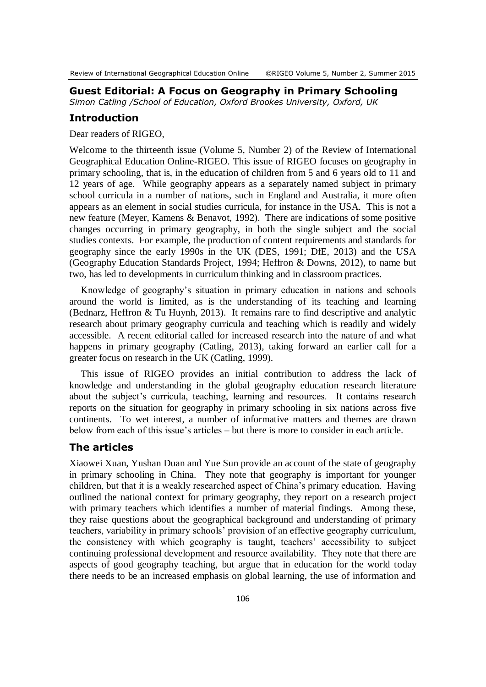# **Guest Editorial: A Focus on Geography in Primary Schooling**

*Simon Catling /School of Education, Oxford Brookes University, Oxford, UK*

# **Introduction**

Dear readers of RIGEO,

Welcome to the thirteenth issue (Volume 5, Number 2) of the Review of International Geographical Education Online-RIGEO. This issue of RIGEO focuses on geography in primary schooling, that is, in the education of children from 5 and 6 years old to 11 and 12 years of age. While geography appears as a separately named subject in primary school curricula in a number of nations, such in England and Australia, it more often appears as an element in social studies curricula, for instance in the USA. This is not a new feature (Meyer, Kamens & Benavot, 1992). There are indications of some positive changes occurring in primary geography, in both the single subject and the social studies contexts. For example, the production of content requirements and standards for geography since the early 1990s in the UK (DES, 1991; DfE, 2013) and the USA (Geography Education Standards Project, 1994; Heffron & Downs, 2012), to name but two, has led to developments in curriculum thinking and in classroom practices.

Knowledge of geography's situation in primary education in nations and schools around the world is limited, as is the understanding of its teaching and learning (Bednarz, Heffron & Tu Huynh, 2013). It remains rare to find descriptive and analytic research about primary geography curricula and teaching which is readily and widely accessible. A recent editorial called for increased research into the nature of and what happens in primary geography (Catling, 2013), taking forward an earlier call for a greater focus on research in the UK (Catling, 1999).

This issue of RIGEO provides an initial contribution to address the lack of knowledge and understanding in the global geography education research literature about the subject's curricula, teaching, learning and resources. It contains research reports on the situation for geography in primary schooling in six nations across five continents. To wet interest, a number of informative matters and themes are drawn below from each of this issue's articles – but there is more to consider in each article.

# **The articles**

Xiaowei Xuan, Yushan Duan and Yue Sun provide an account of the state of geography in primary schooling in China. They note that geography is important for younger children, but that it is a weakly researched aspect of China's primary education. Having outlined the national context for primary geography, they report on a research project with primary teachers which identifies a number of material findings. Among these, they raise questions about the geographical background and understanding of primary teachers, variability in primary schools' provision of an effective geography curriculum, the consistency with which geography is taught, teachers' accessibility to subject continuing professional development and resource availability. They note that there are aspects of good geography teaching, but argue that in education for the world today there needs to be an increased emphasis on global learning, the use of information and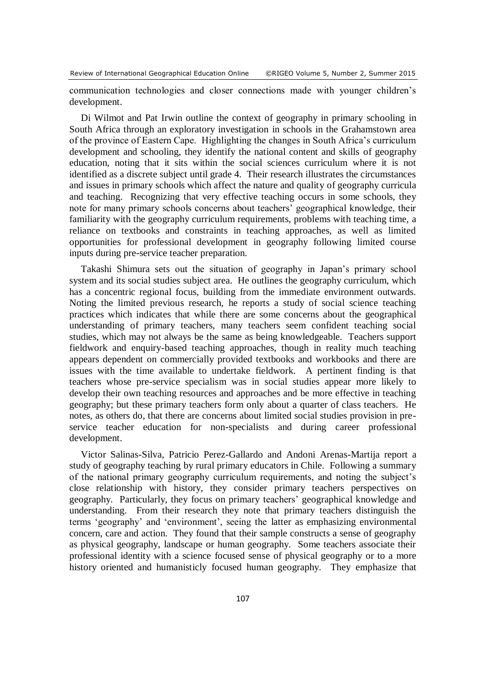communication technologies and closer connections made with younger children's development.

Di Wilmot and Pat Irwin outline the context of geography in primary schooling in South Africa through an exploratory investigation in schools in the Grahamstown area of the province of Eastern Cape. Highlighting the changes in South Africa's curriculum development and schooling, they identify the national content and skills of geography education, noting that it sits within the social sciences curriculum where it is not identified as a discrete subject until grade 4. Their research illustrates the circumstances and issues in primary schools which affect the nature and quality of geography curricula and teaching. Recognizing that very effective teaching occurs in some schools, they note for many primary schools concerns about teachers' geographical knowledge, their familiarity with the geography curriculum requirements, problems with teaching time, a reliance on textbooks and constraints in teaching approaches, as well as limited opportunities for professional development in geography following limited course inputs during pre-service teacher preparation.

Takashi Shimura sets out the situation of geography in Japan's primary school system and its social studies subject area. He outlines the geography curriculum, which has a concentric regional focus, building from the immediate environment outwards. Noting the limited previous research, he reports a study of social science teaching practices which indicates that while there are some concerns about the geographical understanding of primary teachers, many teachers seem confident teaching social studies, which may not always be the same as being knowledgeable. Teachers support fieldwork and enquiry-based teaching approaches, though in reality much teaching appears dependent on commercially provided textbooks and workbooks and there are issues with the time available to undertake fieldwork. A pertinent finding is that teachers whose pre-service specialism was in social studies appear more likely to develop their own teaching resources and approaches and be more effective in teaching geography; but these primary teachers form only about a quarter of class teachers. He notes, as others do, that there are concerns about limited social studies provision in preservice teacher education for non-specialists and during career professional development.

Victor Salinas-Silva, Patricio Perez-Gallardo and Andoni Arenas-Martija report a study of geography teaching by rural primary educators in Chile. Following a summary of the national primary geography curriculum requirements, and noting the subject's close relationship with history, they consider primary teachers perspectives on geography. Particularly, they focus on primary teachers' geographical knowledge and understanding. From their research they note that primary teachers distinguish the terms 'geography' and 'environment', seeing the latter as emphasizing environmental concern, care and action. They found that their sample constructs a sense of geography as physical geography, landscape or human geography. Some teachers associate their professional identity with a science focused sense of physical geography or to a more history oriented and humanisticly focused human geography. They emphasize that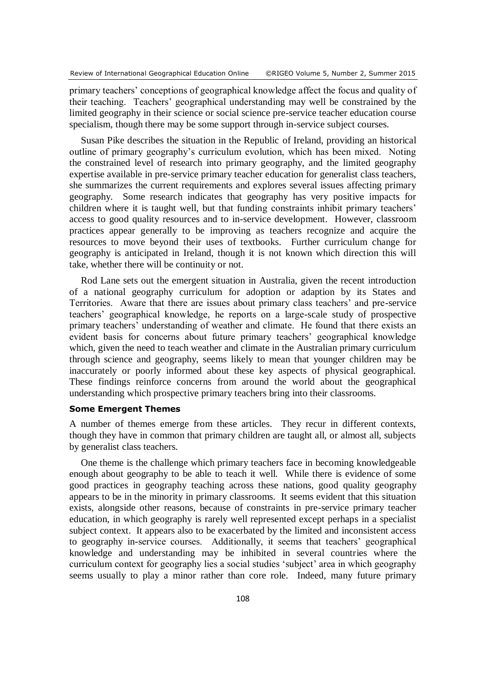primary teachers' conceptions of geographical knowledge affect the focus and quality of their teaching. Teachers' geographical understanding may well be constrained by the limited geography in their science or social science pre-service teacher education course specialism, though there may be some support through in-service subject courses.

Susan Pike describes the situation in the Republic of Ireland, providing an historical outline of primary geography's curriculum evolution, which has been mixed. Noting the constrained level of research into primary geography, and the limited geography expertise available in pre-service primary teacher education for generalist class teachers, she summarizes the current requirements and explores several issues affecting primary geography. Some research indicates that geography has very positive impacts for children where it is taught well, but that funding constraints inhibit primary teachers' access to good quality resources and to in-service development. However, classroom practices appear generally to be improving as teachers recognize and acquire the resources to move beyond their uses of textbooks. Further curriculum change for geography is anticipated in Ireland, though it is not known which direction this will take, whether there will be continuity or not.

Rod Lane sets out the emergent situation in Australia, given the recent introduction of a national geography curriculum for adoption or adaption by its States and Territories. Aware that there are issues about primary class teachers' and pre-service teachers' geographical knowledge, he reports on a large-scale study of prospective primary teachers' understanding of weather and climate. He found that there exists an evident basis for concerns about future primary teachers' geographical knowledge which, given the need to teach weather and climate in the Australian primary curriculum through science and geography, seems likely to mean that younger children may be inaccurately or poorly informed about these key aspects of physical geographical. These findings reinforce concerns from around the world about the geographical understanding which prospective primary teachers bring into their classrooms.

# **Some Emergent Themes**

A number of themes emerge from these articles. They recur in different contexts, though they have in common that primary children are taught all, or almost all, subjects by generalist class teachers.

One theme is the challenge which primary teachers face in becoming knowledgeable enough about geography to be able to teach it well. While there is evidence of some good practices in geography teaching across these nations, good quality geography appears to be in the minority in primary classrooms. It seems evident that this situation exists, alongside other reasons, because of constraints in pre-service primary teacher education, in which geography is rarely well represented except perhaps in a specialist subject context. It appears also to be exacerbated by the limited and inconsistent access to geography in-service courses. Additionally, it seems that teachers' geographical knowledge and understanding may be inhibited in several countries where the curriculum context for geography lies a social studies 'subject' area in which geography seems usually to play a minor rather than core role. Indeed, many future primary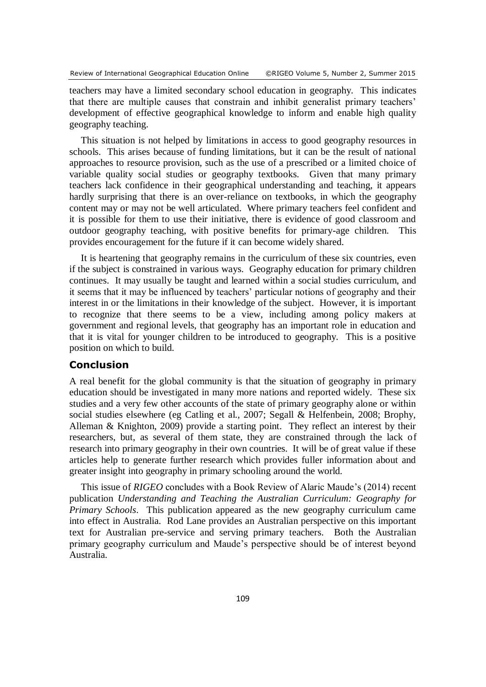teachers may have a limited secondary school education in geography. This indicates that there are multiple causes that constrain and inhibit generalist primary teachers' development of effective geographical knowledge to inform and enable high quality geography teaching.

This situation is not helped by limitations in access to good geography resources in schools. This arises because of funding limitations, but it can be the result of national approaches to resource provision, such as the use of a prescribed or a limited choice of variable quality social studies or geography textbooks. Given that many primary teachers lack confidence in their geographical understanding and teaching, it appears hardly surprising that there is an over-reliance on textbooks, in which the geography content may or may not be well articulated. Where primary teachers feel confident and it is possible for them to use their initiative, there is evidence of good classroom and outdoor geography teaching, with positive benefits for primary-age children. This provides encouragement for the future if it can become widely shared.

It is heartening that geography remains in the curriculum of these six countries, even if the subject is constrained in various ways. Geography education for primary children continues. It may usually be taught and learned within a social studies curriculum, and it seems that it may be influenced by teachers' particular notions of geography and their interest in or the limitations in their knowledge of the subject. However, it is important to recognize that there seems to be a view, including among policy makers at government and regional levels, that geography has an important role in education and that it is vital for younger children to be introduced to geography. This is a positive position on which to build.

# **Conclusion**

A real benefit for the global community is that the situation of geography in primary education should be investigated in many more nations and reported widely. These six studies and a very few other accounts of the state of primary geography alone or within social studies elsewhere (eg Catling et al., 2007; Segall & Helfenbein, 2008; Brophy, Alleman & Knighton, 2009) provide a starting point. They reflect an interest by their researchers, but, as several of them state, they are constrained through the lack of research into primary geography in their own countries. It will be of great value if these articles help to generate further research which provides fuller information about and greater insight into geography in primary schooling around the world.

This issue of *RIGEO* concludes with a Book Review of Alaric Maude's (2014) recent publication *Understanding and Teaching the Australian Curriculum: Geography for Primary Schools*. This publication appeared as the new geography curriculum came into effect in Australia. Rod Lane provides an Australian perspective on this important text for Australian pre-service and serving primary teachers. Both the Australian primary geography curriculum and Maude's perspective should be of interest beyond Australia.